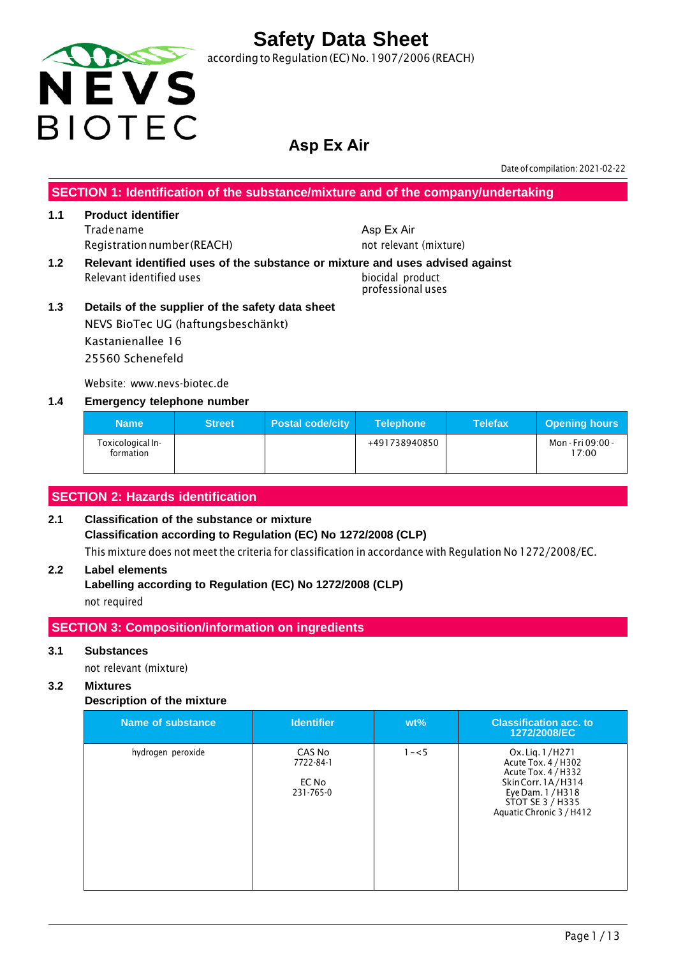

according to Regulation (EC) No.1907/2006 (REACH)

### **Asp Ex Air**

Date of compilation: 2021-02-22

**SECTION 1: Identification of the substance/mixture and of the company/undertaking**

#### **1.1 Product identifier** Tradename Registrationnumber (REACH)

**1.2 Relevant identified uses of the substance or mixture and uses advised against** Relevant identified uses biocidal product

not relevant (mixture)

Asp Ex Air

professional uses

**1.3 Details of the supplier of the safety data sheet** NEVS BioTec UG (haftungsbeschänkt) Kastanienallee 16 25560 Schenefeld

Website: www.nevs-biotec.de

#### **1.4 Emergency telephone number**

| <b>Name</b>                    | <b>Street</b> | <b>Postal code/city</b> | <b>Telephone</b> | <b>Telefax</b> | <b>Opening hours</b>       |
|--------------------------------|---------------|-------------------------|------------------|----------------|----------------------------|
| Toxicological In-<br>formation |               |                         | +491738940850    |                | Mon - Fri 09:00 -<br>17:00 |

#### **SECTION 2: Hazards identification**

#### **2.1 Classification of the substance or mixture Classification according to Regulation (EC) No 1272/2008 (CLP)** This mixture does not meet the criteria for classification in accordance with Regulation No 1272/2008/EC.

#### **2.2 Label elements**

**Labelling according to Regulation (EC) No 1272/2008 (CLP)** not required

#### **SECTION 3: Composition/information on ingredients**

#### **3.1 Substances**

not relevant (mixture)

#### **3.2 Mixtures**

#### **Description of the mixture**

| Name of substance | <b>Identifier</b>                         | $wt\%$  | <b>Classification acc. to</b><br>1272/2008/EC                                                                                                            |
|-------------------|-------------------------------------------|---------|----------------------------------------------------------------------------------------------------------------------------------------------------------|
| hydrogen peroxide | CAS No<br>7722-84-1<br>EC No<br>231-765-0 | $1 - 5$ | Ox. Lig. 1/H271<br>Acute Tox. 4 / H302<br>Acute Tox. 4 / H332<br>Skin Corr. 1A/H314<br>Eye Dam. 1 / H318<br>STOT SE 3 / H335<br>Aquatic Chronic 3 / H412 |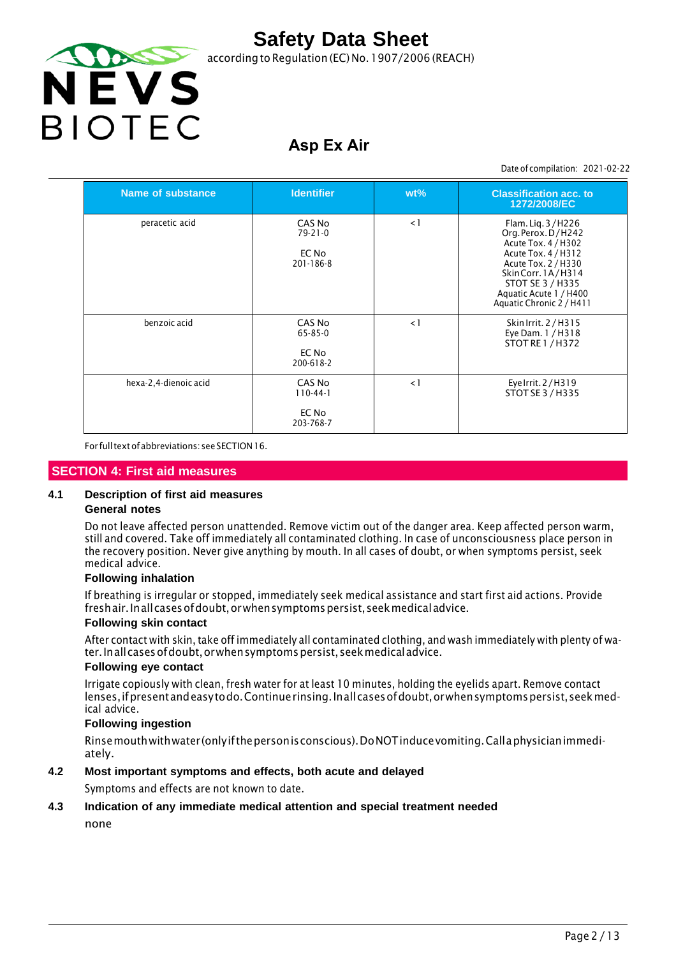

according to Regulation (EC) No. 1907/2006 (REACH)

## **Asp Ex Air**

Date of compilation: 2021-02-22

| Name of substance     | <b>Identifier</b>                                   | $wt\%$   | <b>Classification acc. to</b><br>1272/2008/EC                                                                                                                                                                |
|-----------------------|-----------------------------------------------------|----------|--------------------------------------------------------------------------------------------------------------------------------------------------------------------------------------------------------------|
| peracetic acid        | CAS No<br>$79 - 21 - 0$<br>EC No<br>$201 - 186 - 8$ | $\leq$ 1 | Flam. Lig. 3/H226<br>Org. Perox. D/H242<br>Acute Tox. 4 / H302<br>Acute Tox. 4 / H312<br>Acute Tox. 2 / H330<br>Skin Corr. 1A/H314<br>STOT SE 3 / H335<br>Aquatic Acute 1 / H400<br>Aquatic Chronic 2 / H411 |
| benzoic acid          | CAS No<br>$65 - 85 - 0$<br>EC No<br>200-618-2       | $\leq$ 1 | Skin Irrit. 2 / H315<br>Eye Dam. 1 / H318<br>STOT RE 1 / H372                                                                                                                                                |
| hexa-2,4-dienoic acid | CAS No<br>$110-44-1$<br>EC No<br>203-768-7          | $\leq$ 1 | Eye Irrit. 2/H319<br>STOT SE 3 / H335                                                                                                                                                                        |

For full text of abbreviations: see SECTION 16.

#### **SECTION 4: First aid measures**

#### **4.1 Description of first aid measures**

#### **General notes**

Do not leave affected person unattended. Remove victim out of the danger area. Keep affected person warm, still and covered. Take off immediately all contaminated clothing. In case of unconsciousness place person in the recovery position. Never give anything by mouth. In all cases of doubt, or when symptoms persist, seek medical advice.

#### **Following inhalation**

If breathing is irregular or stopped, immediately seek medical assistance and start first aid actions. Provide fresh air. In all cases of doubt, or when symptoms persist, seek medical advice.

#### **Following skin contact**

After contact with skin, take off immediately all contaminated clothing, and wash immediately with plenty of water. In all cases of doubt, or when symptoms persist, seek medical advice.

#### **Following eye contact**

Irrigate copiously with clean, fresh water for at least 10 minutes, holding the eyelids apart. Remove contact lenses, if present and easy to do. Continue rinsing. In all cases of doubt, or when symptoms persist, seek medical advice.

#### **Following ingestion**

Rinse mouth with water (only ifthe person is conscious). DoNOT induce vomiting. Call a physician immediately.

#### **4.2 Most important symptoms and effects, both acute and delayed**

Symptoms and effects are not known to date.

#### **4.3 Indication of any immediate medical attention and special treatment needed**

none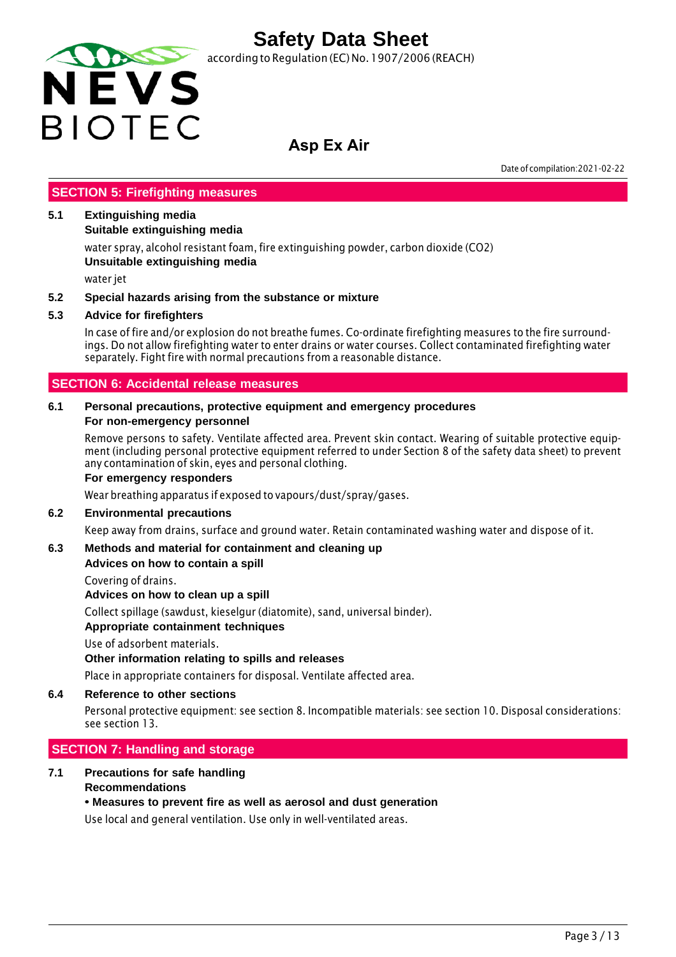

according to Regulation (EC) No. 1907/2006 (REACH)

### **Asp Ex Air**

Date of compilation:2021-02-22

#### **SECTION 5: Firefighting measures**

#### **5.1 Extinguishing media**

**Suitable extinguishing media**

water spray, alcohol resistant foam, fire extinguishing powder, carbon dioxide (CO2) **Unsuitable extinguishing media**

water jet

#### **5.2 Special hazards arising from the substance or mixture**

#### **5.3 Advice for firefighters**

In case of fire and/or explosion do not breathe fumes. Co-ordinate firefighting measures to the fire surroundings. Do not allow firefighting water to enter drains or water courses. Collect contaminated firefighting water separately. Fight fire with normal precautions from a reasonable distance.

#### **SECTION 6: Accidental release measures**

#### **6.1 Personal precautions, protective equipment and emergency procedures For non-emergency personnel**

Remove persons to safety. Ventilate affected area. Prevent skin contact. Wearing of suitable protective equipment (including personal protective equipment referred to under Section 8 of the safety data sheet) to prevent any contamination of skin, eyes and personal clothing.

#### **For emergency responders**

Wear breathing apparatus if exposed to vapours/dust/spray/gases.

#### **6.2 Environmental precautions**

Keep away from drains, surface and ground water. Retain contaminated washing water and dispose of it.

#### **6.3 Methods and material for containment and cleaning up**

#### **Advices on how to contain a spill**

Covering of drains.

**Advices on how to clean up a spill**

Collect spillage (sawdust, kieselgur (diatomite), sand, universal binder).

#### **Appropriate containment techniques**

Use of adsorbent materials.

#### **Other information relating to spills and releases**

Place in appropriate containers for disposal. Ventilate affected area.

#### **6.4 Reference to other sections**

Personal protective equipment: see section 8. Incompatible materials: see section 10. Disposal considerations: see section 13.

#### **SECTION 7: Handling and storage**

#### **7.1 Precautions for safe handling Recommendations**

#### **• Measures to prevent fire as well as aerosol and dust generation**

Use local and general ventilation. Use only in well-ventilated areas.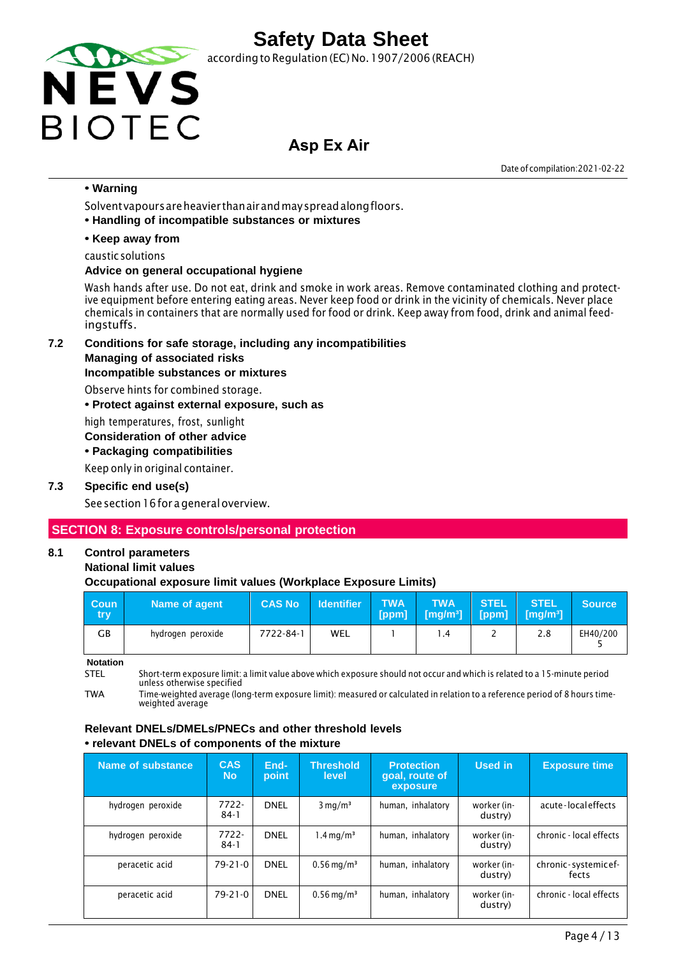

according to Regulation (EC) No. 1907/2006 (REACH)

### **Asp Ex Air**

Date of compilation:2021-02-22

#### **• Warning**

Solvent vapours are heavier than air and may spread along floors.

**• Handling of incompatible substances or mixtures**

#### **• Keep away from**

caustic solutions

#### **Advice on general occupational hygiene**

Wash hands after use. Do not eat, drink and smoke in work areas. Remove contaminated clothing and protective equipment before entering eating areas. Never keep food or drink in the vicinity of chemicals. Never place chemicals in containers that are normally used for food or drink. Keep away from food, drink and animal feedingstuffs.

**7.2 Conditions for safe storage, including any incompatibilities** 

#### **Managing of associated risks**

#### **Incompatible substances or mixtures**

Observe hints for combined storage.

**• Protect against external exposure, such as**

high temperatures, frost, sunlight

#### **Consideration of other advice**

**• Packaging compatibilities**

Keep only in original container.

#### **7.3 Specific end use(s)**

See section 16 for a general overview.

#### **SECTION 8: Exposure controls/personal protection**

#### **8.1 Control parameters**

#### **National limit values**

#### **Occupational exposure limit values (Workplace Exposure Limits)**

| <b>Coun</b><br>try | Name of agent     | <b>CAS No</b> | <b>Identifier</b> | <b>TWA</b><br>[ppm] | <b>TWA</b><br>$\sqrt{[mg/m^3]}$ | <b>STEL</b> | <b>STEL</b><br>$[ppm]$ $[mg/m^3]$ | <b>Source</b> |
|--------------------|-------------------|---------------|-------------------|---------------------|---------------------------------|-------------|-----------------------------------|---------------|
| GВ                 | hydrogen peroxide | 7722-84-1     | WEL               |                     | $\cdot$ 4                       | -           | 2.8                               | EH40/200      |

**Notation**

STEL Short-term exposure limit: a limit value above which exposure should not occur and which is related to a 15-minute period unless otherwise specified

TWA Time-weighted average (long-term exposure limit): measured or calculated in relation to a reference period of 8 hours timeweighted average

#### **Relevant DNELs/DMELs/PNECs and other threshold levels • relevant DNELs of components of the mixture**

| Name of substance | <b>CAS</b><br><b>No</b> | End-<br>point | <b>Threshold</b><br>level | <b>Protection</b><br>goal, route of<br>exposure | Used in                | <b>Exposure time</b>         |
|-------------------|-------------------------|---------------|---------------------------|-------------------------------------------------|------------------------|------------------------------|
| hydrogen peroxide | $7722 -$<br>$84-1$      | <b>DNEL</b>   | $3 \text{ mg/m}^3$        | human, inhalatory                               | worker (in-<br>dustry) | acute-localeffects           |
| hydrogen peroxide | 7722-<br>$84-1$         | <b>DNEL</b>   | $1.4 \,\mathrm{mq/m^3}$   | human, inhalatory                               | worker (in-<br>dustry) | chronic - local effects      |
| peracetic acid    | $79 - 21 - 0$           | <b>DNEL</b>   | $0.56 \,\mathrm{mg/m^3}$  | human, inhalatory                               | worker (in-<br>dustry) | chronic-systemicef-<br>fects |
| peracetic acid    | $79 - 21 - 0$           | <b>DNEL</b>   | $0.56 \,\mathrm{mg/m^3}$  | human, inhalatory                               | worker (in-<br>dustry) | chronic - local effects      |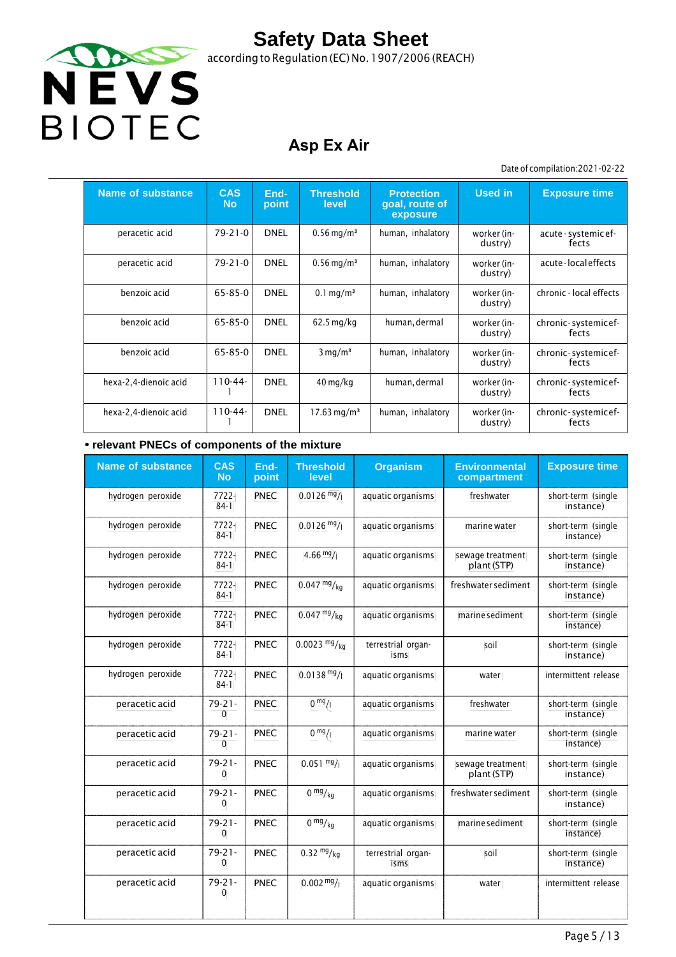

according to Regulation (EC) No.1907/2006 (REACH)

## **Asp Ex Air**

#### Date of compilation:2021-02-22

| Name of substance     | <b>CAS</b><br><b>No</b> | End-<br>point | <b>Threshold</b><br>level | <b>Protection</b><br>goal, route of<br>exposure | <b>Used in</b>         | <b>Exposure time</b>          |
|-----------------------|-------------------------|---------------|---------------------------|-------------------------------------------------|------------------------|-------------------------------|
| peracetic acid        | $79 - 21 - 0$           | <b>DNEL</b>   | $0.56 \,\mathrm{mg/m^3}$  | human, inhalatory                               | worker (in-<br>dustry) | acute - systemic ef-<br>fects |
| peracetic acid        | $79 - 21 - 0$           | <b>DNEL</b>   | $0.56$ mg/m <sup>3</sup>  | human, inhalatory                               | worker (in-<br>dustry) | acute-localeffects            |
| benzoic acid          | 65-85-0                 | <b>DNEL</b>   | $0.1 \,\mathrm{mg/m^3}$   | human, inhalatory                               | worker (in-<br>dustry) | chronic - local effects       |
| benzoic acid          | 65-85-0                 | <b>DNEL</b>   | $62.5$ mg/kg              | human, dermal                                   | worker (in-<br>dustry) | chronic-systemicef-<br>fects  |
| benzoic acid          | 65-85-0                 | <b>DNEL</b>   | $3 \text{ mg/m}^3$        | human, inhalatory                               | worker (in-<br>dustry) | chronic-systemicef-<br>fects  |
| hexa-2,4-dienoic acid | $110-44-$               | <b>DNEL</b>   | $40 \,\mathrm{mg/kg}$     | human, dermal                                   | worker (in-<br>dustry) | chronic-systemicef-<br>fects  |
| hexa-2,4-dienoic acid | $110-44-$               | <b>DNEL</b>   | $17.63 \,\mathrm{mg/m^3}$ | human, inhalatory                               | worker (in-<br>dustry) | chronic-systemicef-<br>fects  |

#### **• relevant PNECs of components of the mixture**

| <b>Name of substance</b> | <b>CAS</b><br><b>No</b>     | End-<br>point | <b>Threshold</b><br>level  | <b>Organism</b>            | <b>Environmental</b><br>compartment | <b>Exposure time</b>            |
|--------------------------|-----------------------------|---------------|----------------------------|----------------------------|-------------------------------------|---------------------------------|
| hydrogen peroxide        | 7722-<br>$84-1$             | PNEC          | $0.0126 \frac{mg}{l}$      | aquatic organisms          | freshwater                          | short-term (single<br>instance) |
| hydrogen peroxide        | 7722-<br>$84-1$             | PNEC          | $0.0126$ mg/               | aquatic organisms          | marine water                        | short-term (single<br>instance) |
| hydrogen peroxide        | 7722-<br>$84-1$             | <b>PNEC</b>   | $4.66 \frac{mg}{l}$        | aquatic organisms          | sewage treatment<br>plant (STP)     | short-term (single<br>instance) |
| hydrogen peroxide        | 7722-<br>$84-1$             | <b>PNEC</b>   | $0.047 \frac{mg}{kg}$      | aquatic organisms          | freshwater sediment                 | short-term (single<br>instance) |
| hydrogen peroxide        | 7722-<br>$84-1$             | <b>PNEC</b>   | $0.047 \frac{mg}{kg}$      | aquatic organisms          | marine sediment                     | short-term (single<br>instance) |
| hydrogen peroxide        | 7722-<br>$84-1$             | <b>PNEC</b>   | $0.0023$ mg/ <sub>kg</sub> | terrestrial organ-<br>isms | soil                                | short-term (single<br>instance) |
| hydrogen peroxide        | 7722-<br>$84-1$             | PNEC          | $0.0138 \text{ mg}$ /      | aquatic organisms          | water                               | intermittent release            |
| peracetic acid           | $79 - 21 -$<br>$\mathbf{0}$ | <b>PNEC</b>   | 0 <sup>mg</sup> /1         | aquatic organisms          | freshwater                          | short-term (single<br>instance) |
| peracetic acid           | $79 - 21 -$<br>$\mathbf{0}$ | <b>PNEC</b>   | $0 \frac{mg}{l}$           | aquatic organisms          | marine water                        | short-term (single<br>instance) |
| peracetic acid           | $79 - 21 -$<br>$\mathbf{0}$ | <b>PNEC</b>   | $0.051 \frac{mg}{l}$       | aquatic organisms          | sewage treatment<br>plant (STP)     | short-term (single<br>instance) |
| peracetic acid           | $79 - 21 -$<br>0            | <b>PNEC</b>   | 0 <sup>mg</sup> /kg        | aquatic organisms          | freshwater sediment                 | short-term (single<br>instance) |
| peracetic acid           | 79-21-<br>$\Omega$          | PNEC          | 0 <sup>mg</sup> /kq        | aquatic organisms          | marine sediment                     | short-term (single<br>instance) |
| peracetic acid           | $79 - 21 -$<br>0            | <b>PNEC</b>   | $0.32 \frac{mg}{kg}$       | terrestrial organ-<br>isms | soil                                | short-term (single<br>instance) |
| peracetic acid           | $79 - 21 -$<br>$\mathbf{0}$ | PNEC          | $0.002 \frac{mg}{l}$       | aquatic organisms          | water                               | intermittent release            |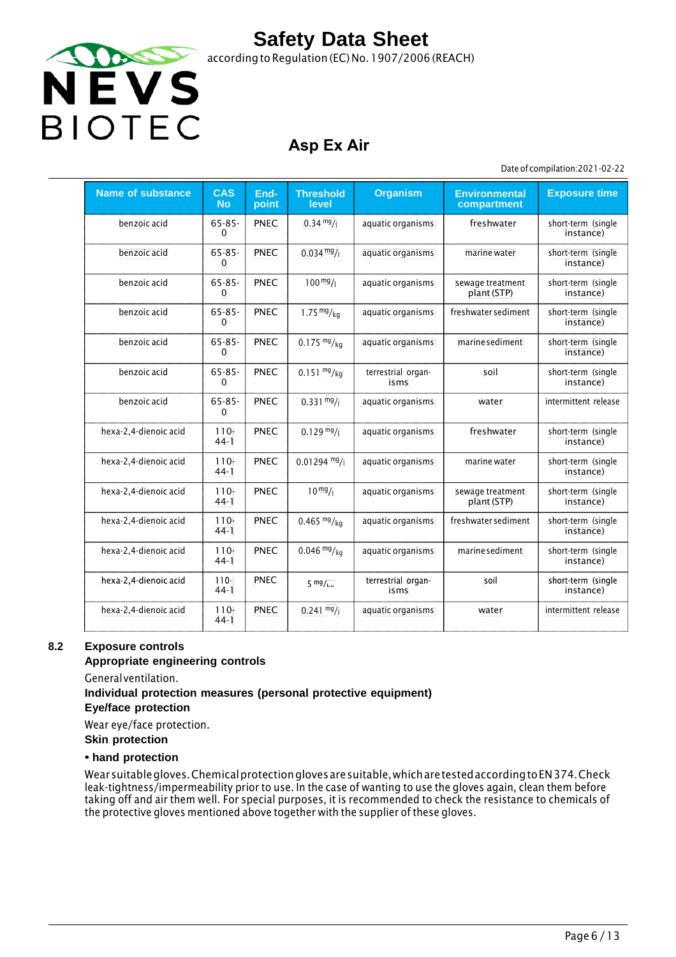

### **Asp Ex Air**

Date of compilation:2021-02-22

| <b>Name of substance</b> | <b>CAS</b><br><b>No</b>     | End-<br>point | <b>Threshold</b><br>level | <b>Organism</b>            | <b>Environmental</b><br>compartment | <b>Exposure time</b>            |
|--------------------------|-----------------------------|---------------|---------------------------|----------------------------|-------------------------------------|---------------------------------|
| benzoic acid             | $65 - 85 -$<br>$\mathbf{0}$ | <b>PNEC</b>   | $0.34 \frac{mg}{l}$       | aquatic organisms          | freshwater                          | short-term (single<br>instance) |
| benzoic acid             | $65 - 85 -$<br>$\mathbf{0}$ | <b>PNEC</b>   | $0.034 \frac{mg}{l}$      | aquatic organisms          | marine water                        | short-term (single<br>instance) |
| benzoic acid             | $65 - 85 -$<br>$\mathbf{0}$ | PNEC          | $100 \frac{mg}{l}$        | aquatic organisms          | sewage treatment<br>plant (STP)     | short-term (single<br>instance) |
| benzoic acid             | $65 - 85 -$<br>$\mathbf{0}$ | <b>PNEC</b>   | 1.75 $mg/kg$              | aquatic organisms          | freshwater sediment                 | short-term (single<br>instance) |
| benzoic acid             | $65 - 85 -$<br>$\Omega$     | <b>PNEC</b>   | $0.175 \frac{mg}{kg}$     | aquatic organisms          | marine sediment                     | short-term (single<br>instance) |
| benzoic acid             | $65 - 85 -$<br>$\mathbf{0}$ | <b>PNEC</b>   | $0.151 \frac{mg}{kg}$     | terrestrial organ-<br>isms | soil                                | short-term (single<br>instance) |
| benzoic acid             | $65 - 85 -$<br>$\Omega$     | <b>PNEC</b>   | $0.331 \text{ mg}$ /      | aquatic organisms          | water                               | intermittent release            |
| hexa-2,4-dienoic acid    | $110 -$<br>$44-1$           | <b>PNEC</b>   | $0.129 \frac{mg}{l}$      | aquatic organisms          | freshwater                          | short-term (single<br>instance) |
| hexa-2,4-dienoic acid    | $110-$<br>$44-1$            | <b>PNEC</b>   | $0.01294$ mg/             | aquatic organisms          | marine water                        | short-term (single<br>instance) |
| hexa-2,4-dienoic acid    | $110 -$<br>$44-1$           | <b>PNEC</b>   | $10^{mg}/1$               | aquatic organisms          | sewage treatment<br>plant (STP)     | short-term (single<br>instance) |
| hexa-2,4-dienoic acid    | $110 -$<br>$44-1$           | <b>PNEC</b>   | $0.465 \frac{mg}{kg}$     | aquatic organisms          | freshwater sediment                 | short-term (single<br>instance) |
| hexa-2,4-dienoic acid    | $110 -$<br>$44-1$           | <b>PNEC</b>   | $0.046 \frac{mg}{kg}$     | aquatic organisms          | marine sediment                     | short-term (single<br>instance) |
| hexa-2,4-dienoic acid    | $110 -$<br>$44-1$           | <b>PNEC</b>   | $5 \frac{mg}{L}$          | terrestrial organ<br>isms  | soil                                | short-term (single<br>instance) |
| hexa-2,4-dienoic acid    | $110 -$<br>$44-1$           | <b>PNEC</b>   | $0.241$ mg/               | aquatic organisms          | water                               | intermittent release            |

#### **8.2 Exposure controls**

#### **Appropriate engineering controls**

General ventilation.

### **Individual protection measures (personal protective equipment)**

**Eye/face protection**

Wear eye/face protection.

**Skin protection**

#### **• hand protection**

Wear suitable gloves. Chemical protection gloves are suitable, which are tested according toEN 374. Check leak-tightness/impermeability prior to use. In the case of wanting to use the gloves again, clean them before taking off and air them well. For special purposes, it is recommended to check the resistance to chemicals of the protective gloves mentioned above together with the supplier of these gloves.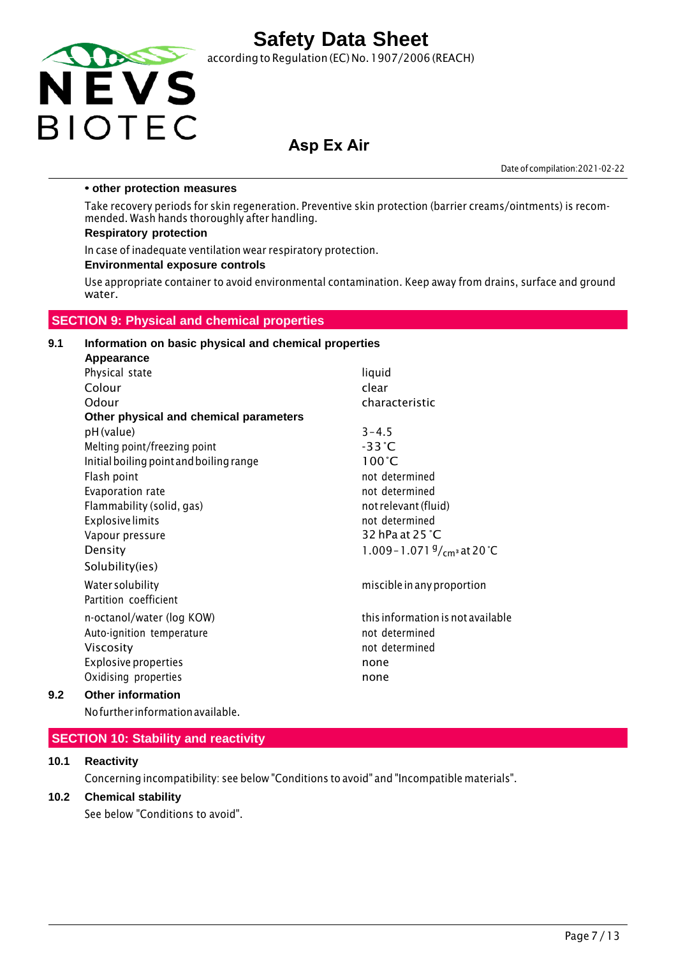

according to Regulation (EC) No.1907/2006 (REACH)

### **Asp Ex Air**

Date of compilation:2021-02-22

#### **• other protection measures**

Take recovery periods for skin regeneration. Preventive skin protection (barrier creams/ointments) is recommended. Wash hands thoroughly after handling.

#### **Respiratory protection**

In case of inadequate ventilation wear respiratory protection.

#### **Environmental exposure controls**

Use appropriate container to avoid environmental contamination. Keep away from drains, surface and ground water.

#### **SECTION 9: Physical and chemical properties**

### **9.1 Information on basic physical and chemical properties Appearance**

| Physical state                          | liquid                                |
|-----------------------------------------|---------------------------------------|
| Colour                                  | clear                                 |
| Odour                                   | characteristic                        |
| Other physical and chemical parameters  |                                       |
| pH (value)                              | $3 - 4.5$                             |
| Melting point/freezing point            | $-33^{\circ}$ C                       |
| Initial boiling point and boiling range | $100^{\circ}$ C                       |
| Flash point                             | not determined                        |
| Evaporation rate                        | not determined                        |
| Flammability (solid, gas)               | not relevant (fluid)                  |
| <b>Explosive limits</b>                 | not determined                        |
| Vapour pressure                         | 32 hPa at 25 $^{\circ}$ C             |
| Density                                 | 1.009 - 1.071 $\frac{9}{cm}$ at 20 °C |
| Solubility(ies)                         |                                       |
| Water solubility                        | miscible in any proportion            |
| Partition coefficient                   |                                       |
| n-octanol/water (log KOW)               | this information is not available     |
| Auto-ignition temperature               | not determined                        |
| Viscosity                               | not determined                        |
| <b>Explosive properties</b>             | none                                  |
| Oxidising properties                    | none                                  |
|                                         |                                       |

#### **9.2 Other information**

Nofurther informationavailable.

#### **SECTION 10: Stability and reactivity**

#### **10.1 Reactivity**

Concerning incompatibility: see below "Conditions to avoid" and "Incompatible materials".

#### **10.2 Chemical stability**

See below "Conditions to avoid".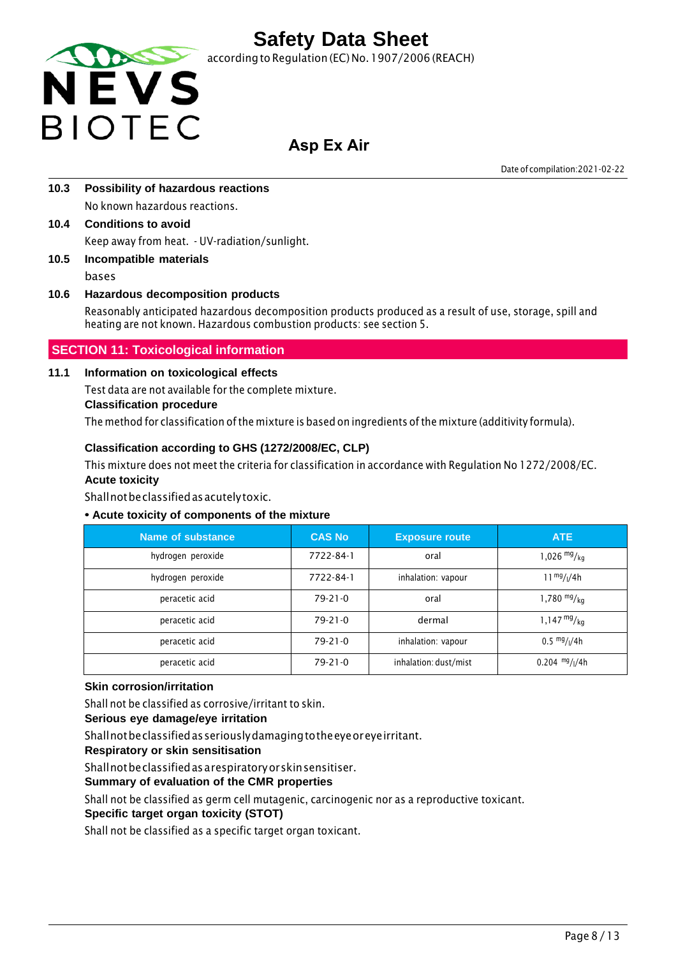

according to Regulation (EC) No. 1907/2006 (REACH)

### **Asp Ex Air**

Date of compilation:2021-02-22

- **10.3 Possibility of hazardous reactions** No known hazardous reactions.
- **10.4 Conditions to avoid** Keep away from heat. - UV-radiation/sunlight.
- **10.5 Incompatible materials** bases

### **10.6 Hazardous decomposition products**

Reasonably anticipated hazardous decomposition products produced as a result of use, storage, spill and heating are not known. Hazardous combustion products: see section 5.

### **SECTION 11: Toxicological information**

#### **11.1 Information on toxicological effects**

Test data are not available for the complete mixture.

#### **Classification procedure**

The method for classification of the mixture is based on ingredients of the mixture (additivity formula).

#### **Classification according to GHS (1272/2008/EC, CLP)**

This mixture does not meet the criteria for classification in accordance with Regulation No 1272/2008/EC. **Acute toxicity**

Shall not be classified as acutely toxic.

#### **• Acute toxicity of components of the mixture**

| Name of substance | <b>CAS No</b> | <b>Exposure route</b> | ATE                                   |
|-------------------|---------------|-----------------------|---------------------------------------|
| hydrogen peroxide | 7722-84-1     | oral                  | 1,026 $mg/kq$                         |
| hydrogen peroxide | 7722-84-1     | inhalation: vapour    | $11^{mg}/(4h)$                        |
| peracetic acid    | $79-21-0$     | oral                  | 1,780 $mg/kg$                         |
| peracetic acid    | $79-21-0$     | dermal                | $1,147 \frac{mg}{kg}$                 |
| peracetic acid    | $79 - 21 - 0$ | inhalation: vapour    | $0.5 \frac{mg}{l}$ / <sub>1</sub> /4h |
| peracetic acid    | $79-21-0$     | inhalation: dust/mist | $0.204$ mg/ $1/4h$                    |

#### **Skin corrosion/irritation**

Shall not be classified as corrosive/irritant to skin.

#### **Serious eye damage/eye irritation**

Shall not be classified as seriously damaging tothe eye or eye irritant.

**Respiratory or skin sensitisation**

Shall not be classified as a respiratory or skin sensitiser.

#### **Summary of evaluation of the CMR properties**

Shall not be classified as germ cell mutagenic, carcinogenic nor as a reproductive toxicant.

#### **Specific target organ toxicity (STOT)**

Shall not be classified as a specific target organ toxicant.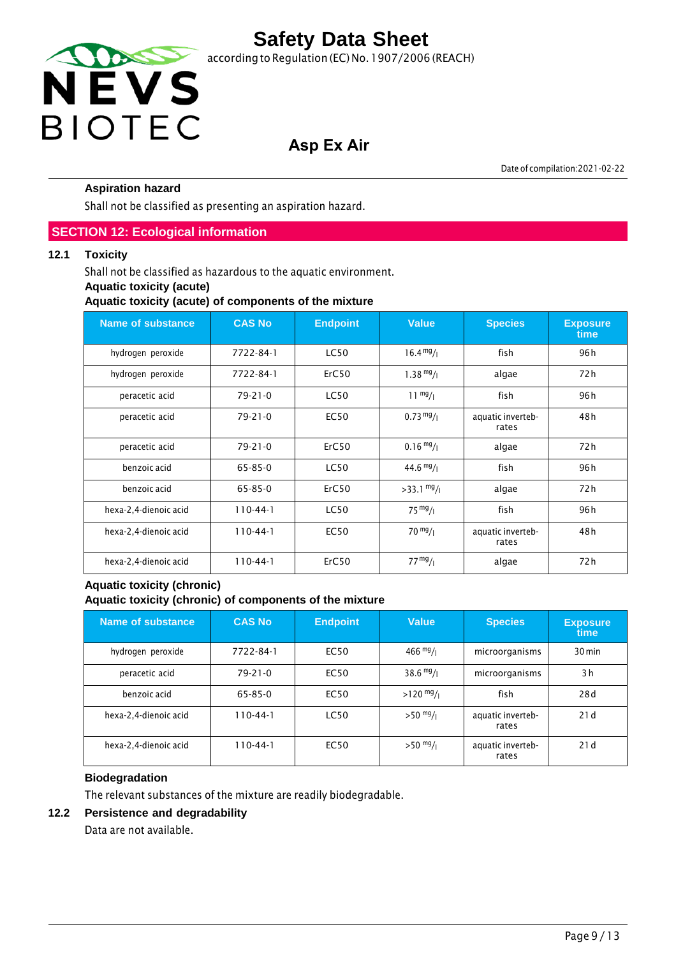

## **Asp Ex Air**

Date of compilation:2021-02-22

#### **Aspiration hazard**

Shall not be classified as presenting an aspiration hazard.

#### **SECTION 12: Ecological information**

#### **12.1 Toxicity**

Shall not be classified as hazardous to the aquatic environment.

#### **Aquatic toxicity (acute)**

**Aquatic toxicity (acute) of components of the mixture**

| <b>Name of substance</b> | <b>CAS No</b> | <b>Endpoint</b> | <b>Value</b>         | <b>Species</b>             | <b>Exposure</b><br>time |
|--------------------------|---------------|-----------------|----------------------|----------------------------|-------------------------|
| hydrogen peroxide        | 7722-84-1     | <b>LC50</b>     | $16.4 \frac{mg}{l}$  | fish                       | 96 h                    |
| hydrogen peroxide        | 7722-84-1     | ErC50           | $1.38 \frac{mg}{l}$  | algae                      | 72 h                    |
| peracetic acid           | $79 - 21 - 0$ | <b>LC50</b>     | $11 \frac{mg}{l}$    | fish                       | 96 h                    |
| peracetic acid           | $79 - 21 - 0$ | <b>EC50</b>     | $0.73 \frac{mg}{l}$  | aquatic inverteb-<br>rates | 48 h                    |
| peracetic acid           | $79 - 21 - 0$ | ErC50           | $0.16 \frac{mg}{l}$  | algae                      | 72 h                    |
| benzoic acid             | $65 - 85 - 0$ | <b>LC50</b>     | $44.6 \frac{mg}{l}$  | fish                       | 96 h                    |
| benzoic acid             | $65 - 85 - 0$ | ErC50           | $>33.1 \frac{mg}{l}$ | algae                      | 72 h                    |
| hexa-2,4-dienoic acid    | $110-44-1$    | <b>LC50</b>     | $75 \frac{mg}{l}$    | fish                       | 96 h                    |
| hexa-2,4-dienoic acid    | $110-44-1$    | <b>EC50</b>     | $70 \frac{mg}{l}$    | aquatic inverteb-<br>rates | 48h                     |
| hexa-2,4-dienoic acid    | $110-44-1$    | ErC50           | $77 \frac{mg}{l}$    | algae                      | 72 h                    |

#### **Aquatic toxicity (chronic) Aquatic toxicity (chronic) of components of the mixture**

| Name of substance     | <b>CAS No</b>  | <b>Endpoint</b> | <b>Value</b>        | <b>Species</b>             | <b>Exposure</b><br>time |
|-----------------------|----------------|-----------------|---------------------|----------------------------|-------------------------|
| hydrogen peroxide     | 7722-84-1      | EC50            | $466 \frac{mg}{l}$  | microorganisms             | 30 min                  |
| peracetic acid        | $79 - 21 - 0$  | EC50            | $38.6 \frac{mg}{l}$ | microorganisms             | 3h                      |
| benzoic acid          | 65-85-0        | <b>EC50</b>     | $>120$ mg/          | fish                       | 28d                     |
| hexa-2,4-dienoic acid | $110 - 44 - 1$ | <b>LC50</b>     | $>50$ mg/ $_1$      | aquatic inverteb-<br>rates | 21d                     |
| hexa-2,4-dienoic acid | $110 - 44 - 1$ | <b>EC50</b>     | $>50$ mg/           | aquatic inverteb-<br>rates | 21d                     |

#### **Biodegradation**

The relevant substances of the mixture are readily biodegradable.

#### **12.2 Persistence and degradability**

Data are not available.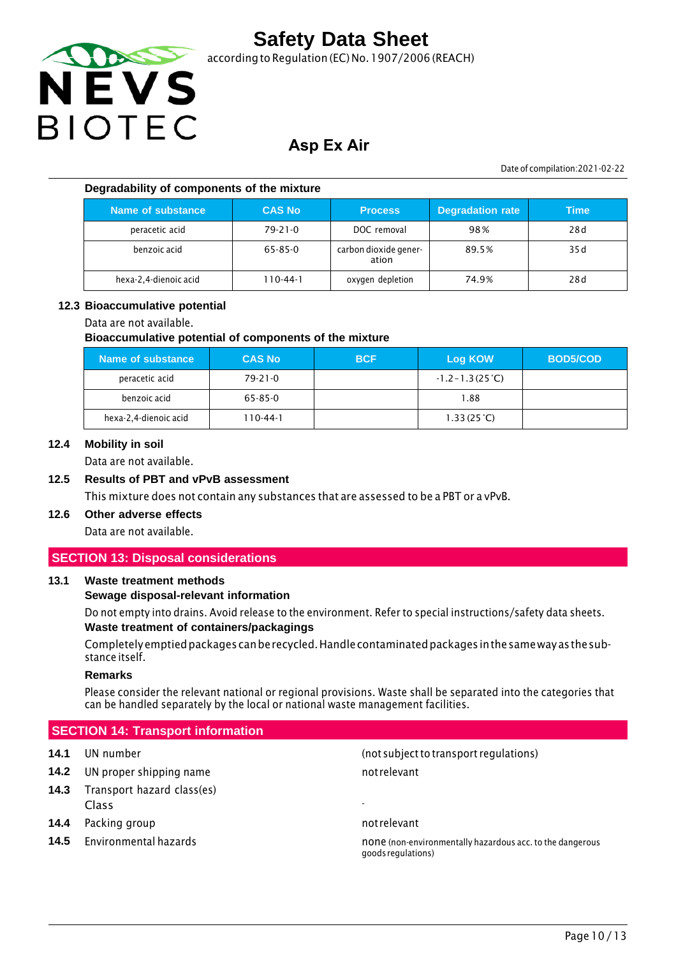

according to Regulation (EC) No.1907/2006 (REACH)

### **Asp Ex Air**

Date of compilation:2021-02-22

#### **Degradability of components of the mixture**

| Name of substance     | <b>CAS No</b> | <b>Process</b>                 | <b>Degradation rate</b> | Time |
|-----------------------|---------------|--------------------------------|-------------------------|------|
| peracetic acid        | $79 - 21 - 0$ | DOC removal                    | 98%                     | 28d  |
| benzoic acid          | 65-85-0       | carbon dioxide gener-<br>ation | 89.5%                   | 35 d |
| hexa-2,4-dienoic acid | 110-44-1      | oxygen depletion               | 74.9%                   | 28d  |

#### **12.3 Bioaccumulative potential**

#### Data are not available.

#### **Bioaccumulative potential of components of the mixture**

| Name of substance     | <b>CAS No</b> | <b>BCF</b> | <b>Log KOW</b>            | <b>BOD5/COD</b> |
|-----------------------|---------------|------------|---------------------------|-----------------|
| peracetic acid        | $79 - 21 - 0$ |            | $-1.2 - 1.3(25^{\circ}C)$ |                 |
| benzoic acid          | 65-85-0       |            | 1.88                      |                 |
| hexa-2,4-dienoic acid | 110-44-1      |            | 1.33(25 <sup>o</sup> C)   |                 |

#### **12.4 Mobility in soil**

Data are not available.

#### **12.5 Results of PBT and vPvB assessment**

This mixture does not contain any substances that are assessed to be a PBT or a vPvB.

### **12.6 Other adverse effects**

Data are not available.

#### **SECTION 13: Disposal considerations**

#### **13.1 Waste treatment methods**

#### **Sewage disposal-relevant information**

Do not empty into drains. Avoid release to the environment. Refer to special instructions/safety data sheets. **Waste treatment of containers/packagings**

Completely emptied packages canbe recycled. Handle contaminated packages inthe same way asthe substance itself.

#### **Remarks**

Please consider the relevant national or regional provisions. Waste shall be separated into the categories that can be handled separately by the local or national waste management facilities.

#### **SECTION 14: Transport information**

- **14.2** UN proper shipping name not relevant
- **14.3** Transport hazard class(es) Class -
- **14.4** Packing group **not relevant** and relevant
- 

**14.1** UN number (not subjectto transport regulations)

**14.5** Environmental hazards none is none (non-environmentally hazardous acc. to the dangerous goodsregulations)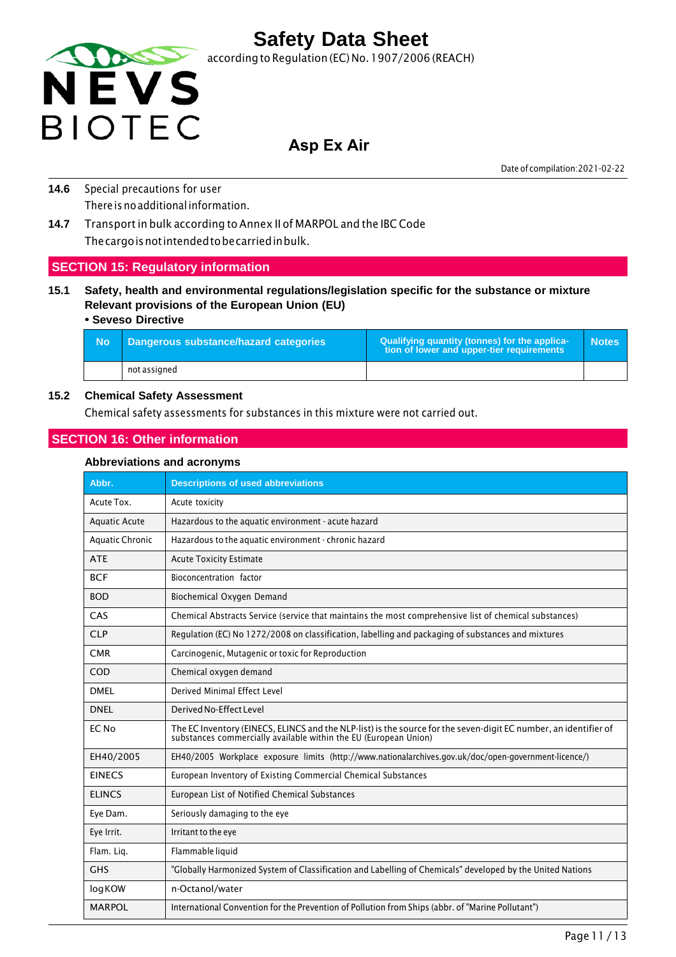

### **Asp Ex Air**

Date of compilation:2021-02-22

- **14.6** Special precautions for user There is no additional information.
- **14.7** Transport in bulk according to Annex II of MARPOL and the IBC Code The cargo is not intended tobe carried in bulk.

#### **SECTION 15: Regulatory information**

**15.1 Safety, health and environmental regulations/legislation specific for the substance or mixture Relevant provisions of the European Union (EU)**

#### **• Seveso Directive**

| - No | Dangerous substance/hazard categories | Qualifying quantity (tonnes) for the applica-<br>tion of lower and upper-tier requirements | <b>Notes</b> |
|------|---------------------------------------|--------------------------------------------------------------------------------------------|--------------|
|      | not assigned                          |                                                                                            |              |

#### **15.2 Chemical Safety Assessment**

Chemical safety assessments for substances in this mixture were not carried out.

#### **SECTION 16: Other information**

#### **Abbreviations and acronyms**

| Abbr.                  | <b>Descriptions of used abbreviations</b>                                                                                                                                         |
|------------------------|-----------------------------------------------------------------------------------------------------------------------------------------------------------------------------------|
| Acute Tox.             | Acute toxicity                                                                                                                                                                    |
| <b>Aquatic Acute</b>   | Hazardous to the aquatic environment - acute hazard                                                                                                                               |
| <b>Aquatic Chronic</b> | Hazardous to the aquatic environment - chronic hazard                                                                                                                             |
| <b>ATE</b>             | <b>Acute Toxicity Estimate</b>                                                                                                                                                    |
| <b>BCF</b>             | Bioconcentration factor                                                                                                                                                           |
| <b>BOD</b>             | Biochemical Oxygen Demand                                                                                                                                                         |
| CAS                    | Chemical Abstracts Service (service that maintains the most comprehensive list of chemical substances)                                                                            |
| <b>CLP</b>             | Regulation (EC) No 1272/2008 on classification, labelling and packaging of substances and mixtures                                                                                |
| <b>CMR</b>             | Carcinogenic, Mutagenic or toxic for Reproduction                                                                                                                                 |
| COD                    | Chemical oxygen demand                                                                                                                                                            |
| <b>DMFI</b>            | Derived Minimal Effect Level                                                                                                                                                      |
| <b>DNEL</b>            | Derived No-Effect Level                                                                                                                                                           |
| EC No                  | The EC Inventory (EINECS, ELINCS and the NLP-list) is the source for the seven-digit EC number, an identifier of substances commercially available within the EU (European Union) |
| EH40/2005              | EH40/2005 Workplace exposure limits (http://www.nationalarchives.gov.uk/doc/open-government-licence/)                                                                             |
| <b>EINECS</b>          | European Inventory of Existing Commercial Chemical Substances                                                                                                                     |
| <b>ELINCS</b>          | European List of Notified Chemical Substances                                                                                                                                     |
| Eye Dam.               | Seriously damaging to the eye                                                                                                                                                     |
| Eye Irrit.             | Irritant to the eye                                                                                                                                                               |
| Flam. Liq.             | Flammable liquid                                                                                                                                                                  |
| <b>GHS</b>             | "Globally Harmonized System of Classification and Labelling of Chemicals" developed by the United Nations                                                                         |
| logKOW                 | n-Octanol/water                                                                                                                                                                   |
| <b>MARPOL</b>          | International Convention for the Prevention of Pollution from Ships (abbr. of "Marine Pollutant")                                                                                 |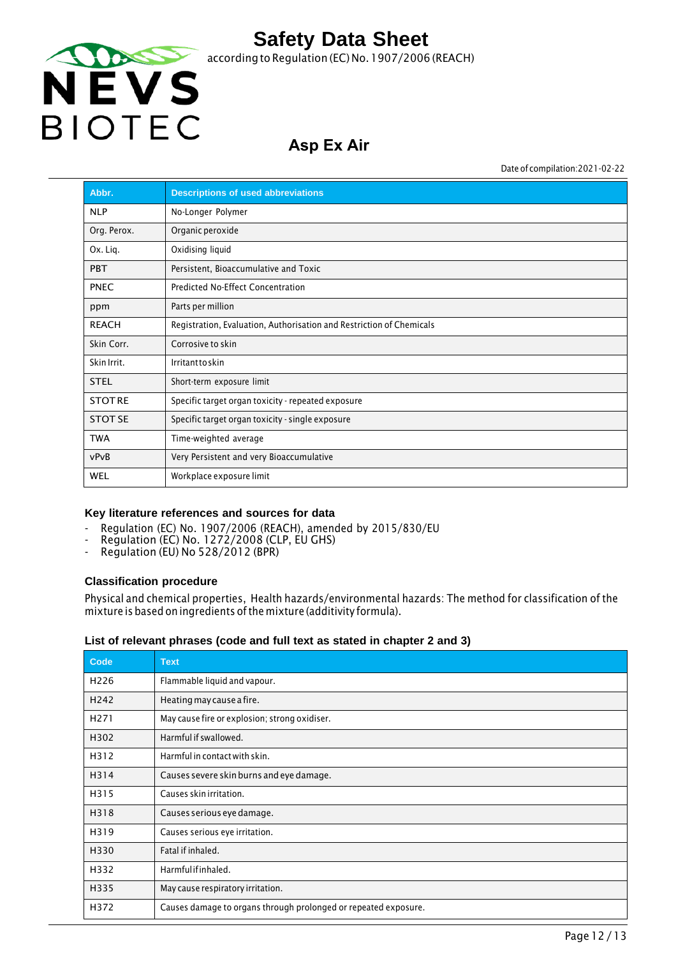

## **Asp Ex Air**

Date of compilation:2021-02-22

| Abbr.          | <b>Descriptions of used abbreviations</b>                            |
|----------------|----------------------------------------------------------------------|
| <b>NLP</b>     | No-Longer Polymer                                                    |
| Org. Perox.    | Organic peroxide                                                     |
| Ox. Liq.       | Oxidising liquid                                                     |
| <b>PBT</b>     | Persistent, Bioaccumulative and Toxic                                |
| <b>PNEC</b>    | Predicted No-Effect Concentration                                    |
| ppm            | Parts per million                                                    |
| <b>REACH</b>   | Registration, Evaluation, Authorisation and Restriction of Chemicals |
| Skin Corr.     | Corrosive to skin                                                    |
| Skin Irrit.    | Irritanttoskin                                                       |
| <b>STEL</b>    | Short-term exposure limit                                            |
| <b>STOTRE</b>  | Specific target organ toxicity - repeated exposure                   |
| <b>STOT SE</b> | Specific target organ toxicity - single exposure                     |
| <b>TWA</b>     | Time-weighted average                                                |
| vPvB           | Very Persistent and very Bioaccumulative                             |
| <b>WEL</b>     | Workplace exposure limit                                             |

#### **Key literature references and sources for data**

- Regulation (EC) No. 1907/2006 (REACH), amended by 2015/830/EU
- Regulation (EC) No. 1272/2008 (CLP, EU GHS)
- Regulation (EU) No 528/2012 (BPR)

#### **Classification procedure**

Physical and chemical properties, Health hazards/environmental hazards: The method for classification of the mixture is based on ingredients of the mixture (additivity formula).

#### **List of relevant phrases (code and full text as stated in chapter 2 and 3)**

| Code             | <b>Text</b>                                                     |
|------------------|-----------------------------------------------------------------|
| H <sub>226</sub> | Flammable liquid and vapour.                                    |
| H <sub>242</sub> | Heating may cause a fire.                                       |
| H <sub>271</sub> | May cause fire or explosion; strong oxidiser.                   |
| H302             | Harmful if swallowed.                                           |
| H312             | Harmful in contact with skin.                                   |
| H314             | Causes severe skin burns and eye damage.                        |
| H315             | Causes skin irritation.                                         |
| H318             | Causes serious eye damage.                                      |
| H319             | Causes serious eye irritation.                                  |
| H330             | Fatal if inhaled.                                               |
| H332             | Harmfulifinhaled.                                               |
| H335             | May cause respiratory irritation.                               |
| H372             | Causes damage to organs through prolonged or repeated exposure. |